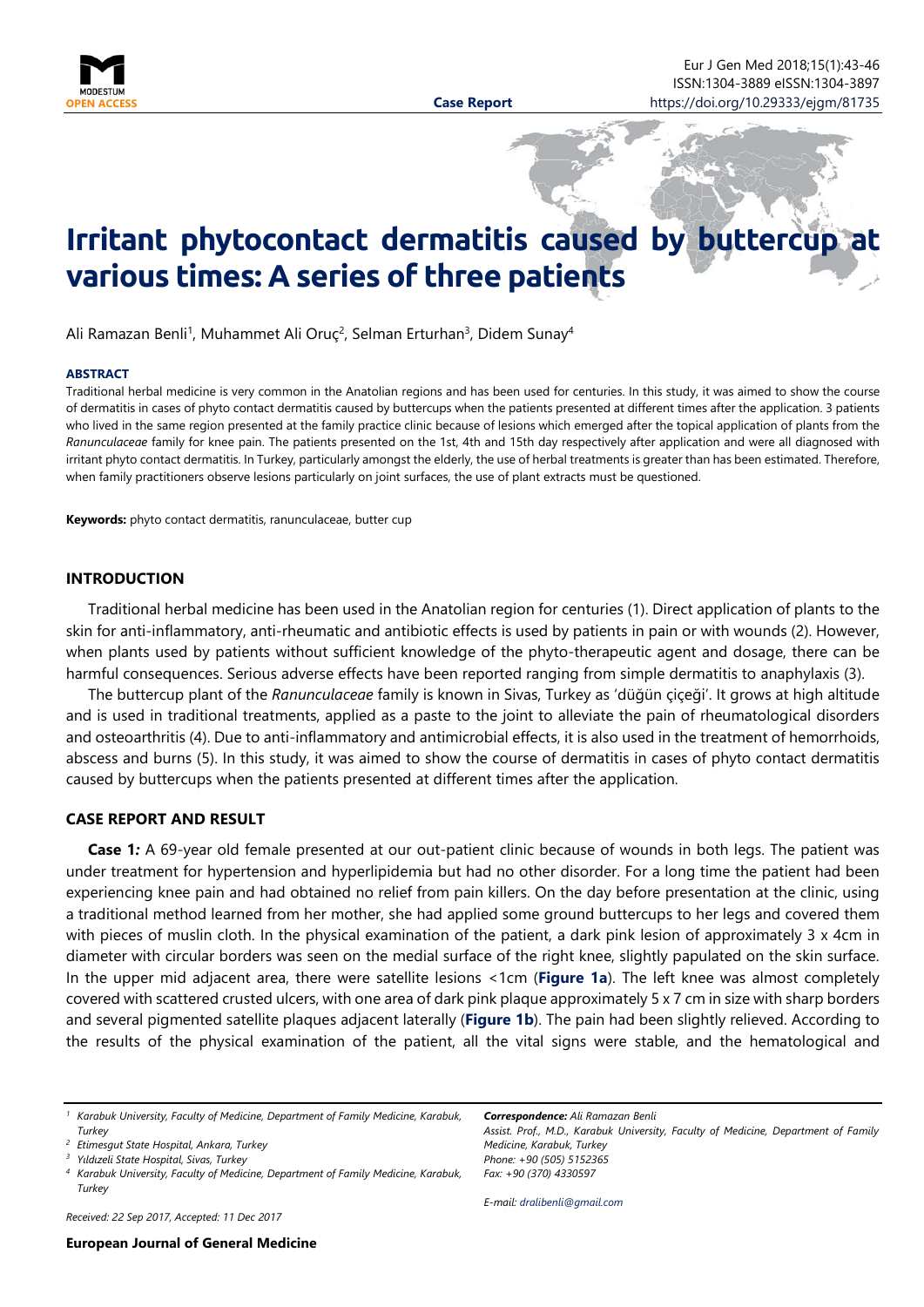

# **Irritant phytocontact dermatitis caused by buttercup various times: A series of three patients**

Ali Ramazan Benli<sup>1</sup>, Muhammet Ali Oruç<sup>2</sup>, Selman Erturhan<sup>3</sup>, Didem Sunay<sup>4</sup>

#### <span id="page-0-0"></span>**ABSTRACT**

Traditional herbal medicine is very common in the Anatolian regions and has been used for centuries. In this study, it was aimed to show the course of dermatitis in cases of phyto contact dermatitis caused by buttercups when the patients presented at different times after the application. 3 patients who lived in the same region presented at the family practice clinic because of lesions which emerged after the topical application of plants from the *Ranunculaceae* family for knee pain. The patients presented on the 1st, 4th and 15th day respectively after application and were all diagnosed with irritant phyto contact dermatitis. In Turkey, particularly amongst the elderly, the use of herbal treatments is greater than has been estimated. Therefore, when family practitioners observe lesions particularly on joint surfaces, the use of plant extracts must be questioned.

**Keywords:** phyto contact dermatitis, ranunculaceae, butter cup

### **INTRODUCTION**

Traditional herbal medicine has been used in the Anatolian region for centuries (1). Direct application of plants to the skin for anti-inflammatory, anti-rheumatic and antibiotic effects is used by patients in pain or with wounds (2). However, when plants used by patients without sufficient knowledge of the phyto-therapeutic agent and dosage, there can be harmful consequences. Serious adverse effects have been reported ranging from simple dermatitis to anaphylaxis (3).

The buttercup plant of the *Ranunculaceae* family is known in Sivas, Turkey as 'düğün çiçeği'. It grows at high altitude and is used in traditional treatments, applied as a paste to the joint to alleviate the pain of rheumatological disorders and osteoarthritis (4). Due to anti-inflammatory and antimicrobial effects, it is also used in the treatment of hemorrhoids, abscess and burns (5). In this study, it was aimed to show the course of dermatitis in cases of phyto contact dermatitis caused by buttercups when the patients presented at different times after the application.

## **CASE REPORT AND RESULT**

**Case 1***:* A 69-year old female presented at our out-patient clinic because of wounds in both legs. The patient was under treatment for hypertension and hyperlipidemia but had no other disorder. For a long time the patient had been experiencing knee pain and had obtained no relief from pain killers. On the day before presentation at the clinic, using a traditional method learned from her mother, she had applied some ground buttercups to her legs and covered them with pieces of muslin cloth. In the physical examination of the patient, a dark pink lesion of approximately 3 x 4cm in diameter with circular borders was seen on the medial surface of the right knee, slightly papulated on the skin surface. In the upper mid adjacent area, there were satellite lesions <1cm (**Figure 1a**). The left knee was almost completely covered with scattered crusted ulcers, with one area of dark pink plaque approximately 5 x 7 cm in size with sharp borders and several pigmented satellite plaques adjacent laterally (**Figure 1b**). The pain had been slightly relieved. According to the results of the physical examination of the patient, all the vital signs were stable, and the hematological and

*Received: 22 Sep 2017, Accepted: 11 Dec 2017*

*Correspondence: Ali Ramazan Benli Assist. Prof., M.D., Karabuk University, Faculty of Medicine, Department of Family Medicine, Karabuk, Turkey Phone: +90 (505) 5152365 Fax: +90 (370) 4330597*

*E-mail: [dralibenli@gmail.com](mailto:dralibenli@gmail.com)*

*<sup>1</sup> Karabuk University, Faculty of Medicine, Department of Family Medicine, Karabuk, Turkey*

*<sup>2</sup> Etimesgut State Hospital, Ankara, Turkey*

*<sup>3</sup> Yıldızeli State Hospital, Sivas, Turkey*

*<sup>4</sup> Karabuk University, Faculty of Medicine, Department of Family Medicine, Karabuk, Turkey*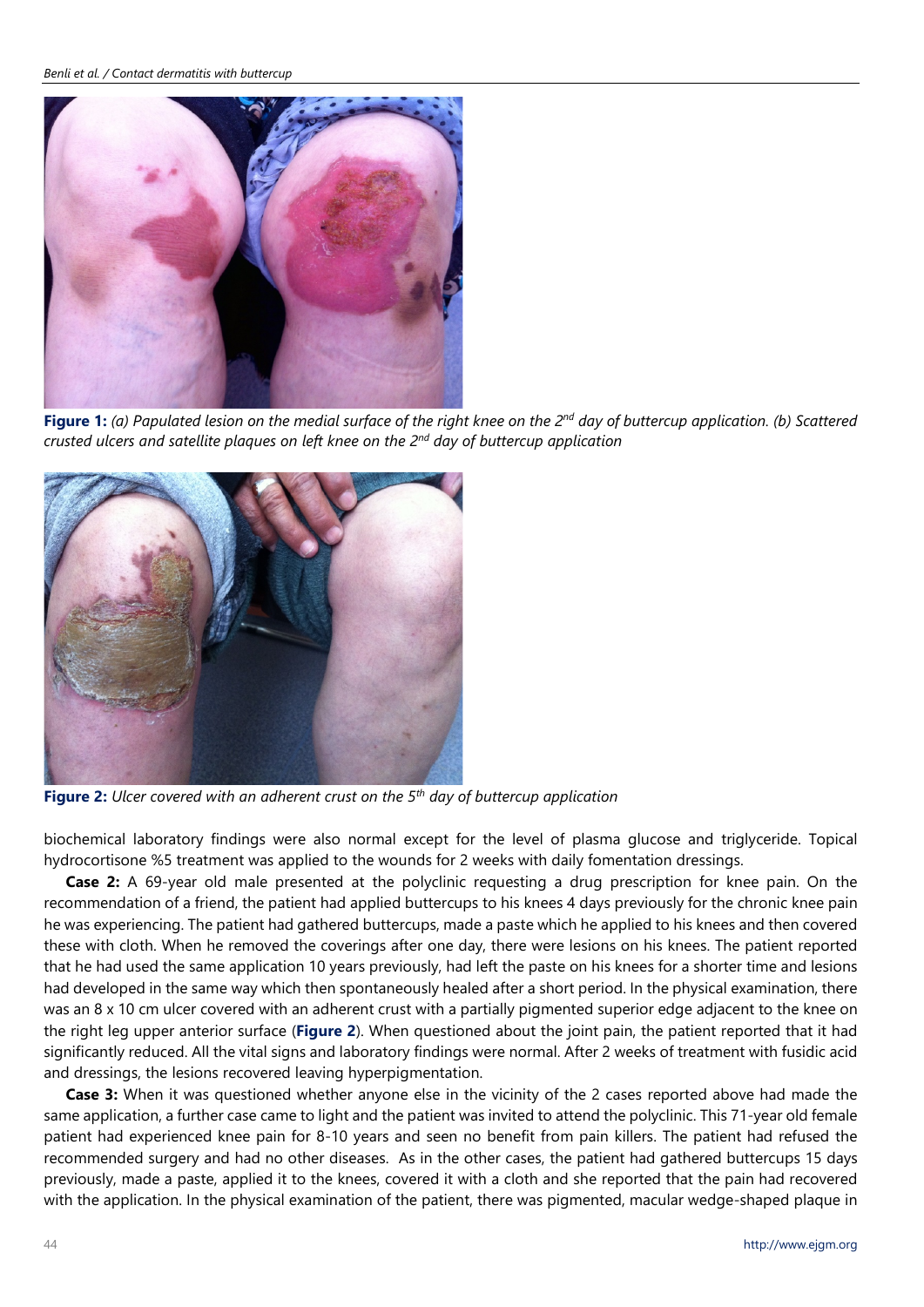*Benli et al. / Contact dermatitis with buttercup*



**Figure 1:** *(a) Papulated lesion on the medial surface of the right knee on the 2nd day of buttercup application. (b) Scattered crusted ulcers and satellite plaques on left knee on the 2nd day of buttercup application*



**Figure 2:** *Ulcer covered with an adherent crust on the 5th day of buttercup application*

biochemical laboratory findings were also normal except for the level of plasma glucose and triglyceride. Topical hydrocortisone %5 treatment was applied to the wounds for 2 weeks with daily fomentation dressings.

**Case 2:** A 69-year old male presented at the polyclinic requesting a drug prescription for knee pain. On the recommendation of a friend, the patient had applied buttercups to his knees 4 days previously for the chronic knee pain he was experiencing. The patient had gathered buttercups, made a paste which he applied to his knees and then covered these with cloth. When he removed the coverings after one day, there were lesions on his knees. The patient reported that he had used the same application 10 years previously, had left the paste on his knees for a shorter time and lesions had developed in the same way which then spontaneously healed after a short period. In the physical examination, there was an 8 x 10 cm ulcer covered with an adherent crust with a partially pigmented superior edge adjacent to the knee on the right leg upper anterior surface (**Figure 2**). When questioned about the joint pain, the patient reported that it had significantly reduced. All the vital signs and laboratory findings were normal. After 2 weeks of treatment with fusidic acid and dressings, the lesions recovered leaving hyperpigmentation.

**Case 3:** When it was questioned whether anyone else in the vicinity of the 2 cases reported above had made the same application, a further case came to light and the patient was invited to attend the polyclinic. This 71-year old female patient had experienced knee pain for 8-10 years and seen no benefit from pain killers. The patient had refused the recommended surgery and had no other diseases. As in the other cases, the patient had gathered buttercups 15 days previously, made a paste, applied it to the knees, covered it with a cloth and she reported that the pain had recovered with the application. In the physical examination of the patient, there was pigmented, macular wedge-shaped plaque in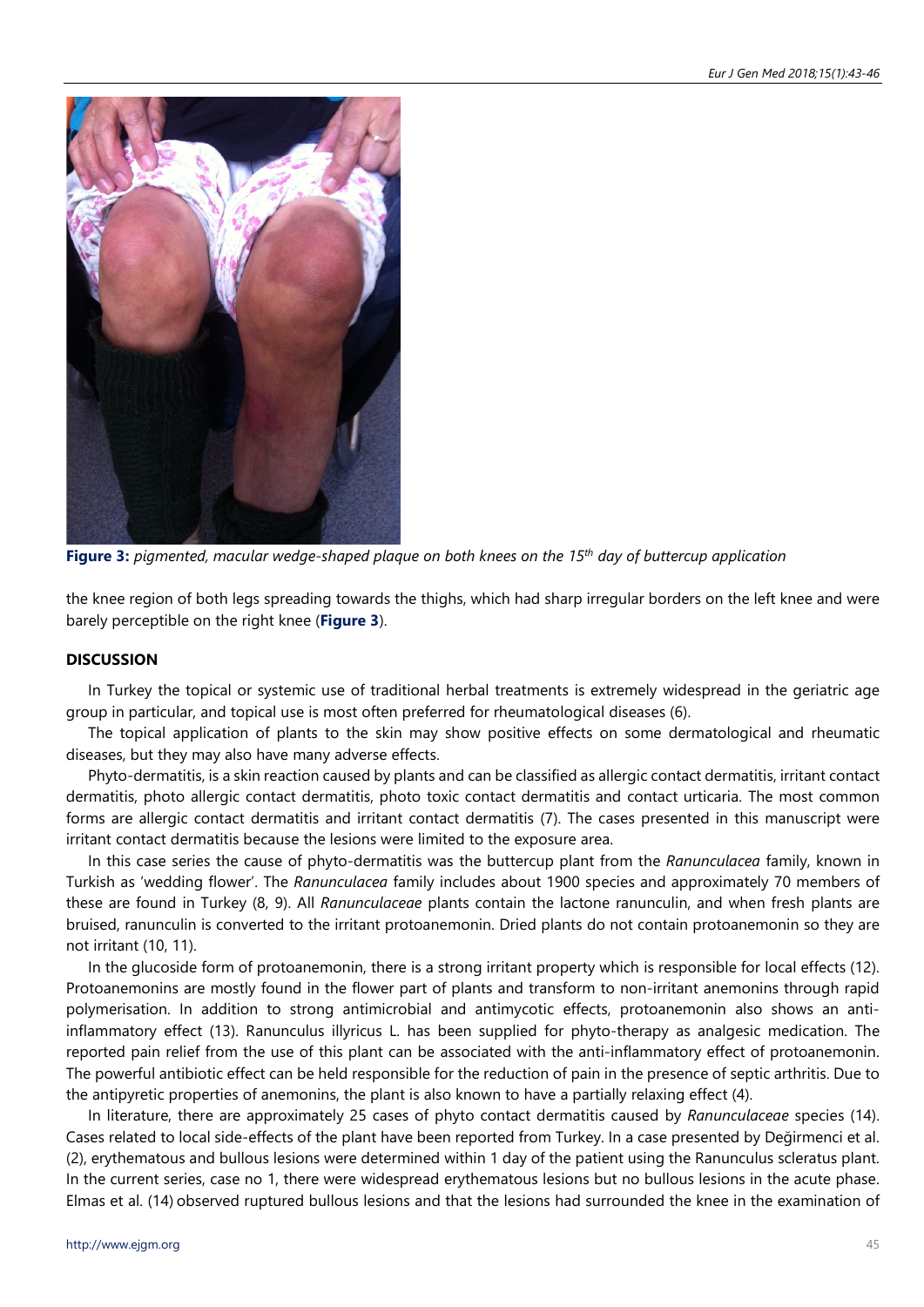

Figure 3: pigmented, macular wedge-shaped plaque on both knees on the 15<sup>th</sup> day of buttercup application

the knee region of both legs spreading towards the thighs, which had sharp irregular borders on the left knee and were barely perceptible on the right knee (**Figure 3**).

# **DISCUSSION**

In Turkey the topical or systemic use of traditional herbal treatments is extremely widespread in the geriatric age group in particular, and topical use is most often preferred for rheumatological diseases (6).

The topical application of plants to the skin may show positive effects on some dermatological and rheumatic diseases, but they may also have many adverse effects.

Phyto-dermatitis, is a skin reaction caused by plants and can be classified as allergic contact dermatitis, irritant contact dermatitis, photo allergic contact dermatitis, photo toxic contact dermatitis and contact urticaria. The most common forms are allergic contact dermatitis and irritant contact dermatitis (7). The cases presented in this manuscript were irritant contact dermatitis because the lesions were limited to the exposure area.

In this case series the cause of phyto-dermatitis was the buttercup plant from the *Ranunculacea* family, known in Turkish as 'wedding flower'. The *Ranunculacea* family includes about 1900 species and approximately 70 members of these are found in Turkey (8, 9). All *Ranunculaceae* plants contain the lactone ranunculin, and when fresh plants are bruised, ranunculin is converted to the irritant protoanemonin. Dried plants do not contain protoanemonin so they are not irritant (10, 11).

In the glucoside form of protoanemonin, there is a strong irritant property which is responsible for local effects (12). Protoanemonins are mostly found in the flower part of plants and transform to non-irritant anemonins through rapid polymerisation. In addition to strong antimicrobial and antimycotic effects, protoanemonin also shows an antiinflammatory effect (13). Ranunculus illyricus L. has been supplied for phyto-therapy as analgesic medication. The reported pain relief from the use of this plant can be associated with the anti-inflammatory effect of protoanemonin. The powerful antibiotic effect can be held responsible for the reduction of pain in the presence of septic arthritis. Due to the antipyretic properties of anemonins, the plant is also known to have a partially relaxing effect (4).

In literature, there are approximately 25 cases of phyto contact dermatitis caused by *Ranunculaceae* species (14). Cases related to local side-effects of the plant have been reported from Turkey. In a case presented by Değirmenci et al. (2), erythematous and bullous lesions were determined within 1 day of the patient using the Ranunculus scleratus plant. In the current series, case no 1, there were widespread erythematous lesions but no bullous lesions in the acute phase. Elmas et al. (14) observed ruptured bullous lesions and that the lesions had surrounded the knee in the examination of